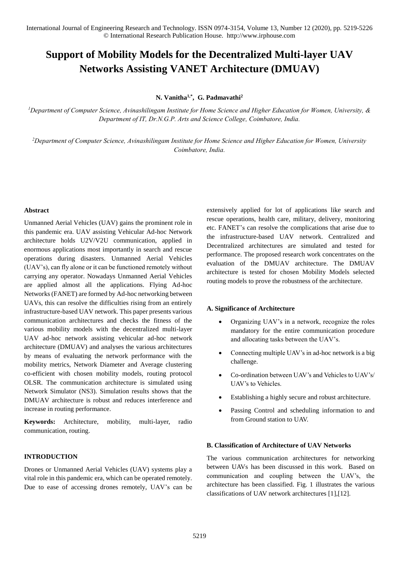# **Support of Mobility Models for the Decentralized Multi-layer UAV Networks Assisting VANET Architecture (DMUAV)**

**N. Vanitha1,\*, G. Padmavathi<sup>2</sup>**

*<sup>1</sup>Department of Computer Science, Avinashilingam Institute for Home Science and Higher Education for Women, University, & Department of IT, Dr.N.G.P. Arts and Science College, Coimbatore, India.* 

*<sup>2</sup>Department of Computer Science, Avinashilingam Institute for Home Science and Higher Education for Women, University Coimbatore, India.* 

### **Abstract**

Unmanned Aerial Vehicles (UAV) gains the prominent role in this pandemic era. UAV assisting Vehicular Ad-hoc Network architecture holds U2V/V2U communication, applied in enormous applications most importantly in search and rescue operations during disasters. Unmanned Aerial Vehicles (UAV's), can fly alone or it can be functioned remotely without carrying any operator. Nowadays Unmanned Aerial Vehicles are applied almost all the applications. Flying Ad-hoc Networks (FANET) are formed by Ad-hoc networking between UAVs, this can resolve the difficulties rising from an entirely infrastructure-based UAV network. This paper presents various communication architectures and checks the fitness of the various mobility models with the decentralized multi-layer UAV ad-hoc network assisting vehicular ad-hoc network architecture (DMUAV) and analyses the various architectures by means of evaluating the network performance with the mobility metrics, Network Diameter and Average clustering co-efficient with chosen mobility models, routing protocol OLSR. The communication architecture is simulated using Network Simulator (NS3). Simulation results shows that the DMUAV architecture is robust and reduces interference and increase in routing performance.

**Keywords:** Architecture, mobility, multi-layer, radio communication, routing.

### **INTRODUCTION**

Drones or Unmanned Aerial Vehicles (UAV) systems play a vital role in this pandemic era, which can be operated remotely. Due to ease of accessing drones remotely, UAV's can be extensively applied for lot of applications like search and rescue operations, health care, military, delivery, monitoring etc. FANET's can resolve the complications that arise due to the infrastructure-based UAV network. Centralized and Decentralized architectures are simulated and tested for performance. The proposed research work concentrates on the evaluation of the DMUAV architecture. The DMUAV architecture is tested for chosen Mobility Models selected routing models to prove the robustness of the architecture.

### **A. Significance of Architecture**

- Organizing UAV's in a network, recognize the roles mandatory for the entire communication procedure and allocating tasks between the UAV's.
- Connecting multiple UAV's in ad-hoc network is a big challenge.
- Co-ordination between UAV's and Vehicles to UAV's/ UAV's to Vehicles.
- Establishing a highly secure and robust architecture.
- Passing Control and scheduling information to and from Ground station to UAV.

### **B. Classification of Architecture of UAV Networks**

The various communication architectures for networking between UAVs has been discussed in this work. Based on communication and coupling between the UAV's, the architecture has been classified. Fig. 1 illustrates the various classifications of UAV network architectures [1],[12].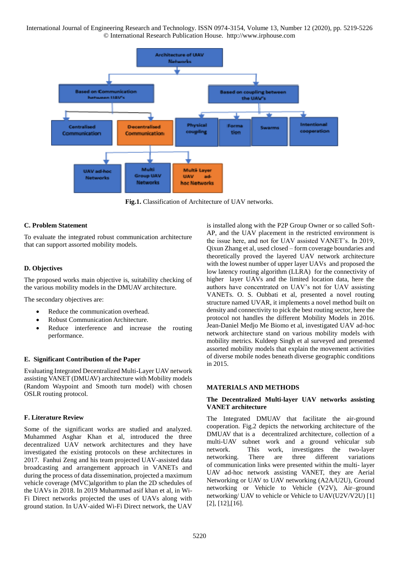

**Fig.1.** Classification of Architecture of UAV networks.

### **C. Problem Statement**

To evaluate the integrated robust communication architecture that can support assorted mobility models.

### **D. Objectives**

The proposed works main objective is, suitability checking of the various mobility models in the DMUAV architecture.

The secondary objectives are:

- Reduce the communication overhead.
- Robust Communication Architecture.
- Reduce interference and increase the routing performance.

### **E.****Significant Contribution of the Paper**

Evaluating Integrated Decentralized Multi-Layer UAV network assisting VANET (DMUAV) architecture with Mobility models (Random Waypoint and Smooth turn model) with chosen OSLR routing protocol.

### **F. Literature Review**

Some of the significant works are studied and analyzed. Muhammed Asghar Khan et al, introduced the three decentralized UAV network architectures and they have investigated the existing protocols on these architectures in 2017. Fanhui Zeng and his team projected UAV-assisted data broadcasting and arrangement approach in VANETs and during the process of data dissemination, projected a maximum vehicle coverage (MVC)algorithm to plan the 2D schedules of the UAVs in 2018. In 2019 Muhammad asif khan et al, in Wi-Fi Direct networks projected the uses of UAVs along with ground station. In UAV-aided Wi-Fi Direct network, the UAV

is installed along with the P2P Group Owner or so called Soft-AP, and the UAV placement in the restricted environment is the issue here, and not for UAV assisted VANET's. In 2019, Qixun Zhang et al, used closed – form coverage boundaries and theoretically proved the layered UAV network architecture with the lowest number of upper layer UAVs and proposed the low latency routing algorithm (LLRA) for the connectivity of higher layer UAVs and the limited location data, here the authors have concentrated on UAV's not for UAV assisting VANETs. O. S. Oubbati et al, presented a novel routing structure named UVAR, it implements a novel method built on density and connectivity to pick the best routing sector, here the protocol not handles the different Mobility Models in 2016. Jean-Daniel Medjo Me Biomo et al, investigated UAV ad-hoc network architecture stand on various mobility models with mobility metrics. Kuldeep Singh et al surveyed and presented assorted mobility models that explain the movement activities of diverse mobile nodes beneath diverse geographic conditions in 2015.

### **MATERIALS AND METHODS**

### **The Decentralized Multi-layer UAV networks assisting VANET architecture**

The Integrated DMUAV that facilitate the air-ground cooperation. Fig.2 depicts the networking architecture of the DMUAV that is a decentralized architecture, collection of a multi-UAV subnet work and a ground vehicular sub network. This work, investigates the two-layer networking. There are three different variations of communication links were presented within the multi- layer UAV ad-hoc network assisting VANET, they are Aerial Networking or UAV to UAV networking (A2A/U2U), Ground networking or Vehicle to Vehicle (V2V), Air–ground networking/ UAV to vehicle or Vehicle to UAV(U2V/V2U) [1] [2], [12],[16].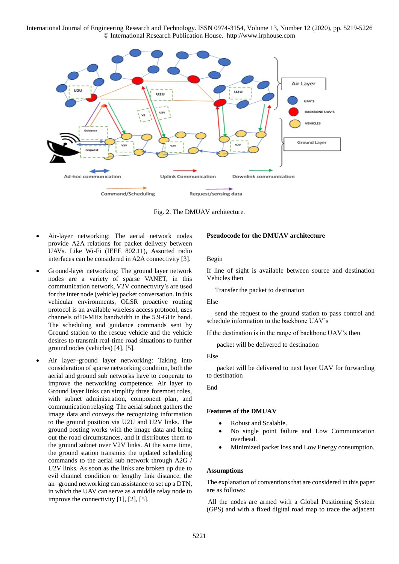

Fig. 2. The DMUAV architecture.

- Air-layer networking: The aerial network nodes provide A2A relations for packet delivery between UAVs. Like Wi-Fi (IEEE 802.11), Assorted radio interfaces can be considered in A2A connectivity [3].
- Ground-layer networking: The ground layer network nodes are a variety of sparse VANET, in this communication network, V2V connectivity's are used for the inter node (vehicle) packet conversation. In this vehicular environments, OLSR proactive routing protocol is an available wireless access protocol, uses channels of10-MHz bandwidth in the 5.9-GHz band. The scheduling and guidance commands sent by Ground station to the rescue vehicle and the vehicle desires to transmit real-time road situations to further ground nodes (vehicles) [4], [5].
- Air layer–ground layer networking: Taking into consideration of sparse networking condition, both the aerial and ground sub networks have to cooperate to improve the networking competence. Air layer to Ground layer links can simplify three foremost roles, with subnet administration, component plan, and communication relaying. The aerial subnet gathers the image data and conveys the recognizing information to the ground position via U2U and U2V links. The ground posting works with the image data and bring out the road circumstances, and it distributes them to the ground subnet over V2V links. At the same time, the ground station transmits the updated scheduling commands to the aerial sub network through A2G / U2V links. As soon as the links are broken up due to evil channel condition or lengthy link distance, the air–ground networking can assistance to set up a DTN, in which the UAV can serve as a middle relay node to improve the connectivity [1], [2], [5].

### **Pseudocode for the DMUAV architecture**

### Begin

If line of sight is available between source and destination Vehicles then

Transfer the packet to destination

#### Else

 send the request to the ground station to pass control and schedule information to the backbone UAV's

If the destination is in the range of backbone UAV's then

packet will be delivered to destination

#### Else

 packet will be delivered to next layer UAV for forwarding to destination

#### End

### **Features of the DMUAV**

- Robust and Scalable.
- No single point failure and Low Communication overhead.
- Minimized packet loss and Low Energy consumption.

#### **Assumptions**

The explanation of conventions that are considered in this paper are as follows:

All the nodes are armed with a Global Positioning System (GPS) and with a fixed digital road map to trace the adjacent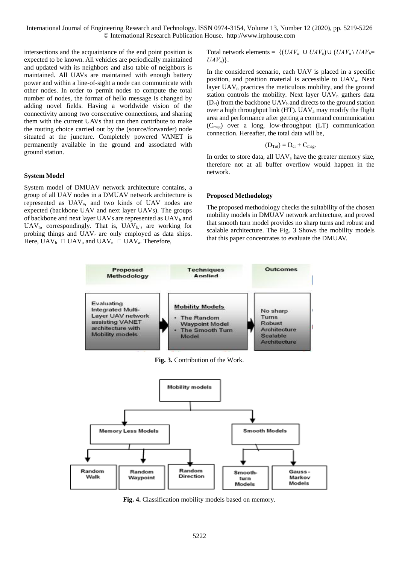intersections and the acquaintance of the end point position is expected to be known. All vehicles are periodically maintained and updated with its neighbors and also table of neighbors is maintained. All UAVs are maintained with enough battery power and within a line-of-sight a node can communicate with other nodes. In order to permit nodes to compute the total number of nodes, the format of hello message is changed by adding novel fields. Having a worldwide vision of the connectivity among two consecutive connections, and sharing them with the current UAVs that can then contribute to make the routing choice carried out by the (source/forwarder) node situated at the juncture. Completely powered VANET is permanently available in the ground and associated with ground station.

#### **System Model**

System model of DMUAV network architecture contains, a group of all UAV nodes in a DMUAV network architecture is represented as UAVa, and two kinds of UAV nodes are expected (backbone UAV and next layer UAVs). The groups of backbone and next layer UAVs are represented as UAV<sub>b</sub> and UAV<sub>n</sub>, correspondingly. That is,  $UAV_{b,s}$  are working for probing things and  $UAV_n$  are only employed as data ships. Here,  $UAV_b \Box UAV_a$  and  $UAV_n \Box UAV_a$ . Therefore,

Total network elements =  $\{(UAV_a \cup UAV_b) \cup (UAV_a \setminus UAV_b=$  $UAV_n$ ).

In the considered scenario, each UAV is placed in a specific position, and position material is accessible to UAVn. Next layer  $UAV<sub>n</sub>$  practices the meticulous mobility, and the ground station controls the mobility. Next layer  $UAV_n$  gathers data  $(D<sub>cl</sub>)$  from the backbone UAV<sub>b</sub> and directs to the ground station over a high throughput link (HT). UAVa may modify the flight area and performance after getting a command communication  $(C<sub>mse</sub>)$  over a long, low-throughput (LT) communication connection. Hereafter, the total data will be,

$$
(D_{Tot}) = D_{cl} + C_{msg}.
$$

In order to store data, all UAV<sub>a</sub> have the greater memory size, therefore not at all buffer overflow would happen in the network.

#### **Proposed Methodology**

The proposed methodology checks the suitability of the chosen mobility models in DMUAV network architecture, and proved that smooth turn model provides no sharp turns and robust and scalable architecture. The Fig. 3 Shows the mobility models that this paper concentrates to evaluate the DMUAV.



Fig. 4. Classification mobility models based on memory.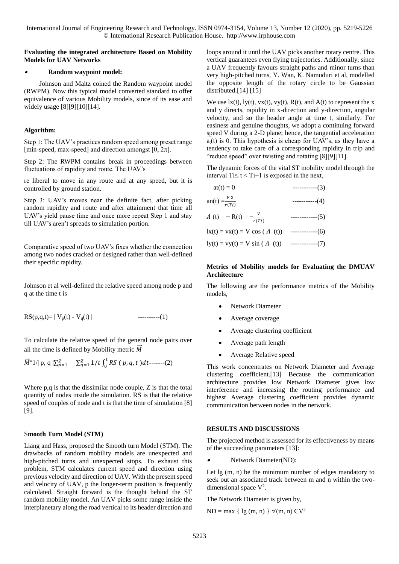### **Evaluating the integrated architecture Based on Mobility Models for UAV Networks**

#### 0 **Random waypoint model:**

Johnson and Maltz coined the Random waypoint model (RWPM). Now this typical model converted standard to offer equivalence of various Mobility models, since of its ease and widely usage [8][9][10][14].

### **Algorithm:**

Step 1: The UAV's practices random speed among preset range [min-speed, max-speed] and direction amongst  $[0, 2\pi]$ .

Step 2: The RWPM contains break in proceedings between fluctuations of rapidity and route. The UAV's

re liberal to move in any route and at any speed, but it is controlled by ground station.

Step 3: UAV's moves near the definite fact, after picking random rapidity and route and after attainment that time all UAV's yield pause time and once more repeat Step 1 and stay till UAV's aren't spreads to simulation portion.

Comparative speed of two UAV's fixes whether the connection among two nodes cracked or designed rather than well-defined their specific rapidity.

Johnson et al well-defined the relative speed among node p and q at the time t is

RS(p,q,t)= | Vp(t) - Vq(t) | ----------(1)

To calculate the relative speed of the general node pairs over all the time is defined by Mobility metric  $\vec{M}$ 

$$
\vec{M}^{\dagger}1/\vert p,q\vert \Sigma_{p=1}^{Z} \quad \Sigma_{q=1}^{Z}1/t \int_{0}^{t} RS(p,q,t)dt
$$
-----(2)

Where p,q is that the dissimilar node couple, Z is that the total quantity of nodes inside the simulation. RS is that the relative speed of couples of node and t is that the time of simulation [8] [9].

# S**mooth Turn Model (STM)**

Liang and Hass, proposed the Smooth turn Model (STM). The drawbacks of random mobility models are unexpected and high-pitched turns and unexpected stops. To exhaust this problem, STM calculates current speed and direction using previous velocity and direction of UAV. With the present speed and velocity of UAV, p the longer-term position is frequently calculated. Straight forward is the thought behind the ST random mobility model. An UAV picks some range inside the interplanetary along the road vertical to its header direction and loops around it until the UAV picks another rotary centre. This vertical guarantees even flying trajectories. Additionally, since a UAV frequently favours straight paths and minor turns than very high-pitched turns, Y. Wan, K. Namuduri et al, modelled the opposite length of the rotary circle to be Gaussian distributed.[14] [15]

We use  $lx(t)$ ,  $ly(t)$ ,  $vx(t)$ ,  $vy(t)$ ,  $R(t)$ , and  $A(t)$  to represent the x and y directs, rapidity in x-direction and y-direction, angular velocity, and so the header angle at time t, similarly. For easiness and genuine thoughts, we adopt a continuing forward speed V during a 2-D plane; hence, the tangential acceleration  $a<sub>i</sub>(t)$  is 0. This hypothesis is cheap for UAV's, as they have a tendency to take care of a corresponding rapidity in trip and "reduce speed" over twisting and rotating [8][9][11].

The dynamic forces of the vital ST mobility model through the interval  $Ti \le t < Ti + 1$  is exposed in the next,

| $at(t) = 0$                         | $------(3)$       |
|-------------------------------------|-------------------|
| an(t) $=\frac{V}{r(Ti)}$            | -----------(4)    |
| A (t) = - R(t) = $-\frac{v}{r(Ti)}$ | ------------(5)   |
| $lx(t) = vx(t) = V \cos (A(t))$     | $------(6)$       |
| $ly(t) = vy(t) = V \sin (A (t))$    | ------------('/ ) |

### **Metrics of Mobility models for Evaluating the DMUAV Architecture**

The following are the performance metrics of the Mobility models,

- Network Diameter
- Average coverage
- Average clustering coefficient
- Average path length
- Average Relative speed

This work concentrates on Network Diameter and Average clustering coefficient.[13] Because the communication architecture provides low Network Diameter gives low interference and increasing the routing performance and highest Average clustering coefficient provides dynamic communication between nodes in the network.

# **RESULTS AND DISCUSSIONS**

The projected method is assessed for its effectiveness by means of the succeeding parameters [13]:

. Network Diameter(ND):

Let lg (m, n) be the minimum number of edges mandatory to seek out an associated track between m and n within the twodimensional space V<sup>2</sup>.

The Network Diameter is given by,

 $ND = max \{ \lg (m, n) \} \forall (m, n) \in V^2$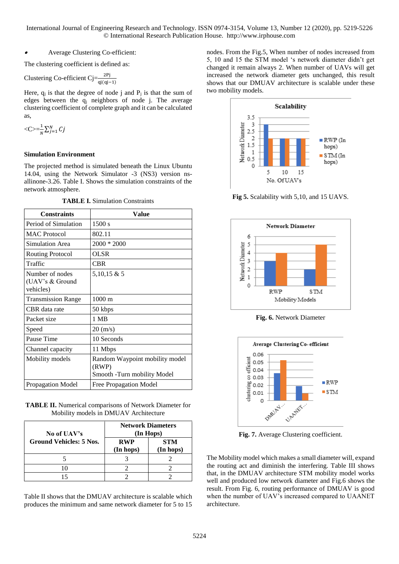#### 0 Average Clustering Co-efficient:

The clustering coefficient is defined as:

Clustering Co-efficient 
$$
Cj = \frac{2Pj}{qj(qj-1)}
$$

Here,  $q_i$  is that the degree of node j and  $P_i$  is that the sum of edges between the  $q_i$  neighbors of node j. The average clustering coefficient of complete graph and it can be calculated as,

$$
<\!\!C\!\!>=\!\!\frac{1}{N}\sum_{j=1}^N C_j
$$

### **Simulation Environment**

The projected method is simulated beneath the Linux Ubuntu 14.04, using the Network Simulator -3 (NS3) version nsallinone-3.26. Table I. Shows the simulation constraints of the network atmosphere.

**TABLE I.** Simulation Constraints

| <b>Constraints</b>                              | Value                                                                  |
|-------------------------------------------------|------------------------------------------------------------------------|
| Period of Simulation                            | 1500 s                                                                 |
| <b>MAC</b> Protocol                             | 802.11                                                                 |
| <b>Simulation Area</b>                          | $2000 * 2000$                                                          |
| Routing Protocol                                | OLSR                                                                   |
| Traffic                                         | <b>CBR</b>                                                             |
| Number of nodes<br>(UAV's & Ground<br>vehicles) | 5,10,15 & 5                                                            |
| <b>Transmission Range</b>                       | $1000 \text{ m}$                                                       |
| CBR data rate                                   | 50 kbps                                                                |
| Packet size                                     | 1 MB                                                                   |
| Speed                                           | $20 \, (m/s)$                                                          |
| Pause Time                                      | 10 Seconds                                                             |
| Channel capacity                                | 11 Mbps                                                                |
| Mobility models                                 | Random Waypoint mobility model<br>(RWP)<br>Smooth -Turn mobility Model |
| <b>Propagation Model</b>                        | <b>Free Propagation Model</b>                                          |

**TABLE II.** Numerical comparisons of Network Diameter for Mobility models in DMUAV Architecture

| No of UAV's                    | <b>Network Diameters</b><br>(In Hops) |                         |
|--------------------------------|---------------------------------------|-------------------------|
| <b>Ground Vehicles: 5 Nos.</b> | <b>RWP</b><br>(In hops)               | <b>STM</b><br>(In hops) |
|                                |                                       |                         |
|                                |                                       |                         |
|                                |                                       |                         |

Table II shows that the DMUAV architecture is scalable which produces the minimum and same network diameter for 5 to 15

nodes. From the Fig.5, When number of nodes increased from 5, 10 and 15 the STM model 's network diameter didn't get changed it remain always 2. When number of UAVs will get increased the network diameter gets unchanged, this result shows that our DMUAV architecture is scalable under these two mobility models.



**Fig 5.** Scalability with 5,10, and 15 UAVS.



**Fig. 6.** Network Diameter



**Fig. 7.** Average Clustering coefficient.

The Mobility model which makes a small diameter will, expand the routing act and diminish the interfering. Table III shows that, in the DMUAV architecture STM mobility model works well and produced low network diameter and Fig.6 shows the result. From Fig. 6, routing performance of DMUAV is good when the number of UAV's increased compared to UAANET architecture.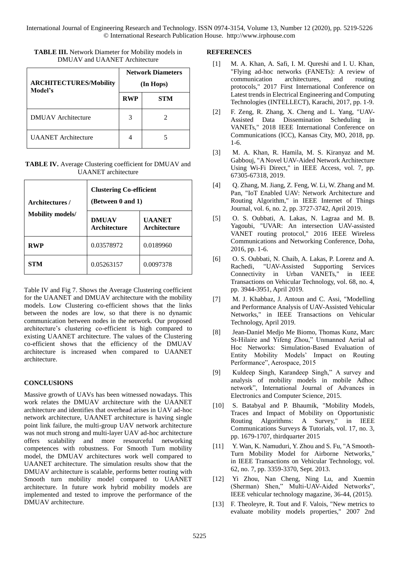| <b>ARCHITECTURES/Mobility</b><br>Model's | <b>Network Diameters</b><br>(In Hops) |     |
|------------------------------------------|---------------------------------------|-----|
|                                          | <b>RWP</b>                            | STM |
| <b>DMUAV</b> Architecture                |                                       |     |
| <b>UAANET</b> Architecture               |                                       |     |

**TABLE III.** Network Diameter for Mobility models in DMUAV and UAANET Architecture

### **TABLE IV.** Average Clustering coefficient for DMUAV and UAANET architecture

| Architectures /         | <b>Clustering Co-efficient</b><br>(Between 0 and 1) |                               |  |
|-------------------------|-----------------------------------------------------|-------------------------------|--|
| <b>Mobility models/</b> | <b>DMUAV</b><br><b>Architecture</b>                 | <b>UAANET</b><br>Architecture |  |
| <b>RWP</b>              | 0.03578972                                          | 0.0189960                     |  |
| STM                     | 0.05263157                                          | 0.0097378                     |  |

Table IV and Fig 7. Shows the Average Clustering coefficient for the UAANET and DMUAV architecture with the mobility models. Low Clustering co-efficient shows that the links between the nodes are low, so that there is no dynamic communication between nodes in the network. Our proposed architecture's clustering co-efficient is high compared to existing UAANET architecture. The values of the Clustering co-efficient shows that the efficiency of the DMUAV architecture is increased when compared to UAANET architecture.

# **CONCLUSIONS**

Massive growth of UAVs has been witnessed nowadays. This work relates the DMUAV architecture with the UAANET architecture and identifies that overhead arises in UAV ad-hoc network architecture, UAANET architecture is having single point link failure, the multi-group UAV network architecture was not much strong and multi-layer UAV ad-hoc architecture offers scalability and more resourceful networking competences with robustness. For Smooth Turn mobility model, the DMUAV architectures work well compared to UAANET architecture. The simulation results show that the DMUAV architecture is scalable, performs better routing with Smooth turn mobility model compared to UAANET architecture. In future work hybrid mobility models are implemented and tested to improve the performance of the DMUAV architecture.

### **REFERENCES**

- [1] M. A. Khan, A. Safi, I. M. Qureshi and I. U. Khan, "Flying ad-hoc networks (FANETs): A review of communication architectures, and routing protocols," 2017 First International Conference on Latest trends in Electrical Engineering and Computing Technologies (INTELLECT), Karachi, 2017, pp. 1-9.
- [2] F. Zeng, R. Zhang, X. Cheng and L. Yang, "UAV-Assisted Data Dissemination Scheduling in VANETs," 2018 IEEE International Conference on Communications (ICC), Kansas City, MO, 2018, pp. 1-6.
- [3] M. A. Khan, R. Hamila, M. S. Kiranyaz and M. Gabbouj, "A Novel UAV-Aided Network Architecture Using Wi-Fi Direct," in IEEE Access, vol. 7, pp. 67305-67318, 2019.
- [4]  $Q.$  Zhang, M. Jiang, Z. Feng, W. Li, W. Zhang and M. Pan, "IoT Enabled UAV: Network Architecture and Routing Algorithm," in IEEE Internet of Things Journal, vol. 6, no. 2, pp. 3727-3742, April 2019.
- [5] O. S. Oubbati, A. Lakas, N. Lagraa and M. B. Yagoubi, "UVAR: An intersection UAV-assisted VANET routing protocol," 2016 IEEE Wireless Communications and Networking Conference, Doha, 2016, pp. 1-6.
- [6] O. S. Oubbati, N. Chaib, A. Lakas, P. Lorenz and A. Rachedi, "UAV-Assisted Supporting Services Connectivity in Urban VANETs," in IEEE Transactions on Vehicular Technology, vol. 68, no. 4, pp. 3944-3951, April 2019.
- [7] M. J. Khabbaz, J. Antoun and C. Assi, "Modelling and Performance Analysis of UAV-Assisted Vehicular Networks," in IEEE Transactions on Vehicular Technology, April 2019.
- [8] Jean-Daniel Medjo Me Biomo, Thomas Kunz, Marc St-Hilaire and Yifeng Zhou," Unmanned Aerial ad Hoc Networks: Simulation-Based Evaluation of Entity Mobility Models' Impact on Routing Performance", Aerospace, 2015
- [9] Kuldeep Singh, Karandeep Singh," A survey and analysis of mobility models in mobile Adhoc network", International Journal of Advances in Electronics and Computer Science, 2015.
- [10] S. Batabyal and P. Bhaumik, "Mobility Models, Traces and Impact of Mobility on Opportunistic Routing Algorithms: A Survey," in IEEE Communications Surveys & Tutorials, vol. 17, no. 3, pp. 1679-1707, thirdquarter 2015
- [11] Y. Wan, K. Namuduri, Y. Zhou and S. Fu, "A Smooth-Turn Mobility Model for Airborne Networks," in IEEE Transactions on Vehicular Technology, vol. 62, no. 7, pp. 3359-3370, Sept. 2013.
- [12] Yi Zhou, Nan Cheng, Ning Lu, and Xuemin (Sherman) Shen," Multi-UAV-Aided Networks", IEEE vehicular technology magazine, 36-44, (2015).
- [13] F. Theolevre, R. Tout and F. Valois, "New metrics to evaluate mobility models properties," 2007 2nd